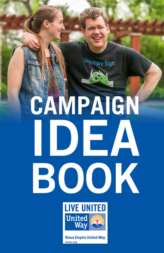United We Sign

# CAMPAIGN DEA BOOK **LIVE UNITED**



**Sioux Empire United Way** seuw.org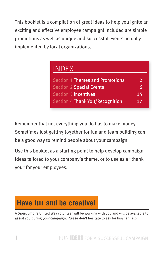This booklet is a compilation of great ideas to help you ignite an exciting and effective employee campaign! Included are simple promotions as well as unique and successful events actually implemented by local organizations.

| <b>INDEX</b>                           |               |
|----------------------------------------|---------------|
| <b>Section 1 Themes and Promotions</b> | $\mathcal{P}$ |
| <b>Section 2 Special Events</b>        | 6             |
| <b>Section 3 Incentives</b>            | 15            |
| Section 4 Thank You/Recognition        | 17            |

Remember that not everything you do has to make money. Sometimes just getting together for fun and team building can be a good way to remind people about your campaign.

Use this booklet as a starting point to help develop campaign ideas tailored to your company's theme, or to use as a "thank you" for your employees.

# **Have fun and be creative!**

A Sioux Empire United Way volunteer will be working with you and will be available to assist you during your campaign. Please don't hesitate to ask for his/her help.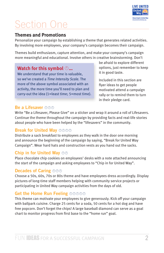

# **Section One**

# **Themes and Promotions**

Personalize your campaign by establishing a theme that generates related activities. By involving more employees, your company's campaign becomes their campaign.

Themes build enthusiasm, capture attention, and make your company's campaign more meaningful and educational. Involve others in creative brainstorming. Don't

# Watch for this symbol  $\mathbb{O}$ ...

We understand that your time is valuable, so we've created a Time Intensity Scale. The more of the above symbol associated with an activity, the more time you'll need to plan and carry-out the idea (1=least time; 5=most time). be afraid to explore different options, just remember to keep it in good taste.

Included in this section are flyer ideas to get people motivated attend a campaign rally or to remind them to turn in their pledge card.

# Be a Lifesaver **OOO**

Write "Be a Lifesaver, Please Give" on a sticker and wrap it around a roll of Lifesavers. Continue the theme throughout the campaign by providing facts and real-life stories about people who have been helped by the "lifesavers" in the community.

# **Break for United Wav OOOO**

Distribute a sack breakfast to employees as they walk in the door one morning and announce the beginning of the campaign by saying, "Break for United Way Campaign". Wear hard hats and construction vests as you hand out the sacks.

# Chip in for United Wav OO

Place chocolate chip cookies on employees' desks with a note attached announcing the start of the campaign and asking employees to "Chip in for United Way".

# **Decades of Caring OOO**

Choose a 50s, 60s, 70s or 80s theme and have employees dress accordingly. Display pictures of long-time staff members helping with community service projects or participating in United Way campaign activities from the days of old.

# Get the Home Run Feeling OOOOO

This theme can motivate your employees to give generously. Kick off your campaign with ballpark cuisine. Charge 25 cents for a soda, 50 cents for a hot dog and have free popcorn. Don't forget the chips! A large baseball diamond can serve as a goal chart to monitor progress from first base to the "home run" goal.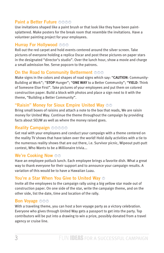# **Paint a Better Future <b>A** A A

Use invitations shaped like a paint brush or that look like they have been paintsplattered. Make posters for the break room that resemble the invitations. Have a volunteer painting project for your employees.

# **Hurray For Hollywood OOO**

Roll out the red carpet and hold events centered around the silver screen. Take pictures of everyone holding a replica Oscar and post these pictures on paper stars in the designated "director's studio". Over the lunch hour, show a movie and charge a small admission fee. Serve popcorn to the patrons.

# **On the Road to Community Betterment <b>***O*<sup>0</sup>

Make signs in the colors and shapes of road signs which say: "**CAUTION**: Community-Building at Work"; "**STOP** Hunger"; "**ONE WAY** to a Better Community"; "**YIELD**: Think of Someone Else First". Take pictures of your employees and put them on colored construction paper. Build a block with photos and place a sign next to it with the theme, "Building a Better Community".

# **"Raisin" Money for Sioux Empire United Way**  $\circledcirc$

Bring small boxes of raisins and attach a note to the box that reads, We are raisin money for United Way. Continue the theme throughout the campaign by providing facts about SEUW as well as where the money raised goes.

# **Reality Campaign** ÂÂÂÂÂ

Get real with your employees and conduct your campaign with a theme centered on the reality TV shows that have taken over the world! Hold daily activities with a tie to the numerous reality shows that are out there, i.e. Survivor picnic, Wipeout putt-putt contest, Who Wants to be a Millionaire trivia...

# **We're Cooking Now**  $\odot \odot$

Have an employee potluck lunch. Each employee brings a favorite dish. What a great way to thank everyone for their support and to announce your campaign results. A variation of this would be to have a Hawaiian Luau.

# **You're a Star When You Give to United Way** Â

Invite all the employees to the campaign rally using a big yellow star made out of construction paper. On one side of the star, write the campaign theme, and on the other side, list the date, time and location of the rally.

# **Bon Voyage <b>***OO*

With a traveling theme, you can host a bon voyage party as a victory celebration. Everyone who gives through United Way gets a passport to get into the party. Top contributors will be put into a drawing to win a prize, possibly donated from a travel agency or cruise line.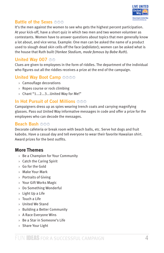

# **Battle of the Sexes <b>DO**

It's the men against the women to see who gets the highest percent participation. At your kick-off, have a short quiz in which two men and two women volunteer as contestants. Women have to answer questions about topics that men generally know a lot about, and vice versa. Example: One man can be asked the name of a product used to slough dead skin cells off the face (*exfoliator*); women can be asked what is the house that Ruth built (*Yankee Stadium, made famous by Babe Ruth*).

# **United Way 007 00**

Clues are given to employees in the form of riddles. The department of the individual who figures out all the riddles receives a prize at the end of the campaign.

# **United Way Boot Camp** ÂÂÂÂ

- › Camouflage decorations
- › Ropes course or rock climbing
- › Chant "1...2...3...United Way for Me!"

# **In Hot Pursuit of Cool Millions <b>O**O

Campaigners dress up as spies wearing trench coats and carrying magnifying glasses. Pass out United Way informative messages in code and offer a prize for the employees who can decode the messages.

# **Beach Bash**  $\oslash$  $\oslash$

Decorate cafeteria or break room with beach balls, etc. Serve hot dogs and fruit kabobs. Have a casual day and tell everyone to wear their favorite Hawaiian shirt. Award prizes for the best outfits.

# **More Themes**

- › Be a Champion for Your Community
- › Catch the Caring Spirit
- › Go for the Gold
- › Make Your Mark
- › Portraits of Giving
- › Your Gift Works Magic
- › Do Something Wonderful
- › Light Up a Life
- › Touch a Life
- › United We Stand
- › Building a Better Community
- › A Race Everyone Wins
- › Be a Star in Someone's Life
- › Share Your Light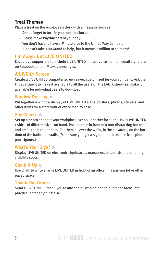# **Treat Themes**

Place a treat on the employee's desk with a message such as:

- › **Donut** forget to turn in you contribution card
- › Please make **PayDay** part of your day!
- › You don't have to have a **Mint** to give to the United Way Campaign
- › It doesn't take **100 Grand** to help, but it means a million to so many!

# **I'm Away...But LIVE UNITED**

Encourage supporters to include LIVE UNITED in their voice mail, on email signatures, on Facebook, or on IM away messages.

# **A LIVE-Ly Screen**

Create a LIVE UNITED computer screen saver, customized for your company. Ask the IT department to make it available to all the users on the LAN. Otherwise, make it available for individual users to download.

# **Window Dressing**  $\odot$

Put together a window display of LIVE UNITED signs, posters, photos, stickers, and other items for a storefront or office display case.

# **Say Cheese**  $\odot$

Set up a photo shoot at your workplace, school, or other location. Have LIVE UNITED t-shirts of different sizes on hand. Pose people in front of a non-distracting backdrop, and email them their photo. Put them all over the walls, in the elevators, on the back door of the bathroom stalls. (Make sure you get a signed photo release from photo participants.)

# **What's Your Sign?** Â

Display LIVE UNITED on electronic signboards, marquees, billboards and other highvisibility spots.

# **Chalk It Up**  $\circledcirc$

Use chalk to write a large LIVE UNITED in front of an office, in a parking lot or other paved space.

# **Thank-You-Gram** Â

Send a LIVE UNITED thank-you to any and all who helped to put these ideas into practice, or for anything else.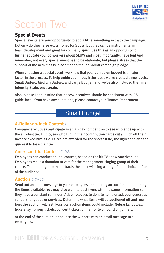

# Section Two

# **Special Events**

Special events are your opportunity to add a little something extra to the campaign. Not only do they raise extra money for SEUW, but they can be instrumental in team development and great for company spirit. Use this as an opportunity to further educate your co-workers about SEUW and most importantly, have fun! And remember, not every special event has to be elaborate, but please stress that the support of the activities is in addition to the individual campaign pledge.

When choosing a special event, we know that your campaign budget is a major factor in the process. To help guide you through the ideas we've created three levels, Small Budget, Medium Budget, and Large Budget, and we've also included the Time Intensity Scale, once again.

Also, please keep in mind that prizes/incentives should be consistent with IRS guidelines. If you have any questions, please contact your Finance Department.

# Small Budget

# **A-Dollar-an-Inch Contest** ÂÂ

Company executives participate in an all-day competition to see who ends up with the shortest tie. Employees who turn in their contribution cards cut an inch off their favorite executive's tie. Prizes are awarded for the shortest tie, the ugliest tie and the quickest to lose their tie.

# **American Idol Contest <b>A**MA

Employees can conduct an Idol contest, based on the hit TV show American Idol. Employees make a donation to vote for the management-singing group of their choice. The duo or group that attracts the most will sing a song of their choice in front of the audience.

# **Auction <b>***Auction*

Send out an email message to your employees announcing an auction and outlining the items available. You may also want to post flyers with the same information so they have a constant reminder. Ask employees to donate items or ask your generous vendors for goods or services. Determine what items will be auctioned off and how long the auction will last. Possible auction items could include: Nebraska football tickets, symphony tickets, concert tickets, dinner for two, round of golf, etc.

At the end of the auction, announce the winners with an email message to all employees.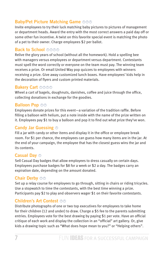# Baby/Pet Picture Matching Game OOO

Invite employees to try their luck matching baby pictures to pictures of management or department heads. Award the entry with the most correct answers a paid day off or some other fun incentive. A twist on this favorite special event is matching the photo of a pet to their owner. Charge employees \$2 per ballot.

# **Back to School OOOO**

Relive the glory years of school (without all the homework). Hold a spelling bee with managers versus employees or department versus department. Contestants must spell the word correctly or everyone on the team must pay. The winning team receives a prize. Or email United Way pop quizzes to employees with winners receiving a prize. Give away customized lunch boxes. Have employees' kids help in the decoration of flyers and custom printed materials.

# **Bakery Cart OOOO**

Wheel a cart of bagels, doughnuts, danishes, coffee and juice through the office, collecting donations in exchange for the goodies.

# **Balloon Pop OO**

Employees donate prizes for this event-a variation of the tradition raffle. Before filling a balloon with helium, put a note inside with the name of the prize written on it. Employees pay \$1 to buy a balloon and pop it to find out what prize they've won.

#### **Candy Jar Guessing**  $\odot$

Fill a jar with candy or other items and display it in the office or employee break room. For \$1 per chance, the employees can guess how many items are in the jar. At the end of your campaign, the employee that has the closest guess wins the jar and its contents.

#### **Casual Dav ®**

Sell Casual Day badges that allow employees to dress casually on certain days. Employees purchase badges for \$8 for a week or \$2 a day. The badges carry an expiration date, depending on the amount donated.

# **Chair Derby OO**

Set up a relay course for employees to go through, sitting in chairs or riding tricycles. Use a stopwatch to time the contestants, with the best time winning a prize. Participants pay \$2 to play and observers wager \$1 on their favorite contestants.

# **Children's Art Contest OO**

Distribute photographs of one or two top executives for employees to take home for their children (12 and under) to draw. Charge a \$5 fee to the parents submitting entries. Employees vote for the best drawing by paying \$1 per vote. Have an official critique of each work and display the collection in an "official" art gallery. Or, give kids a drawing topic such as "What does hope mean to you?" or "Helping others".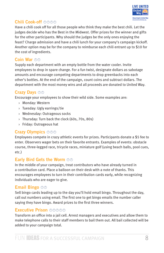

# **Chili Cook-off <b>@@**@

Have a chili cook off for all those people who think they make the best chili. Let the judges decide who has the Best in the Midwest. Offer prizes for the winner and gifts for the other participants. Why should the judges be the only ones enjoying the feast? Charge admission and have a chili lunch for your company's campaign kickoff. Another option may be for the company to reimburse each chili entrant up to \$10 for the cost of ingredients.

# **Coin War ©©**

Supply each department with an empty bottle from the water cooler. Invite employees to drop in spare change. For a fun twist, designate dollars as sabotage amounts and encourage competing departments to drop greenbacks into each other's bottles. At the end of the campaign, count coins and subtract dollars. The department with the most money wins and all proceeds are donated to United Way.

# **Crazy Days <b>***O*

Encourage your employees to show their wild side. Some examples are:

- › Monday: Western
- › Tuesday: Ugly earrings/tie
- › Wednesday: Outrageous socks
- › Thursday: Turn back the clock (60s, 70s, 80s)
- › Friday: Outrageous hat

# **Crazy Olympics OOO**

Employees compete in crazy athletic events for prizes. Participants donate a \$5 fee to enter. Observers wager bets on their favorite entrants. Examples of events: obstacle course, three-legged race, tricycle races, miniature golf (using beach balls, pool cues, etc.)

# **Early Bird Gets the Worm**  $\odot \odot$

In the middle of your campaign, treat contributors who have already turned in a contribution card. Place a balloon on their desk with a note of thanks. This encourages employees to turn in their contribution cards early, while recognizing individuals who are eager to give.

# **Email Bingo <b><sup>O</sup>**

Sell bingo cards leading up to the day you'll hold email bingo. Throughout the day, call out numbers using email. The first one to get bingo emails the number caller saying they have bingo. Award prizes to the first three winners.

# **Executive Prison** ÂÂÂÂÂ

Transform an office into a jail cell. Arrest managers and executives and allow them to make telephone calls to their staff members to bail them out. All bail collected will be added to your campaign total.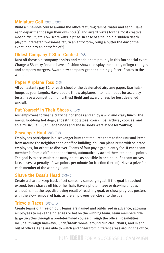# **Miniature Golf <b>@@@@**

Build a nine-hole course around the office featuring ramps, water and sand. Have each department design their own hole(s) and award prizes for the most creative, most difficult, etc. Low score wins a prize. In case of a tie, hold a sudden death playoff. Interested twosomes return an entry form, bring a putter the day of the event, and pay an entry fee of \$5.

# **Oldest Company T-Shirt Contest ©©**

Dust off those old company t-shirts and model them proudly in this fun special event. Charge a \$3 entry fee and have a fashion show to display the history of logo changes and company mergers. Award new company gear or clothing gift certificates to the winners.

# **Paper Airplane Toss**  $\circledcirc\circledcirc$

All contestants pay \$2 for each sheet of the designated airplane paper. Use hulahoops as your targets. Have people throw airplanes into hula hoops for accuracy tests, have a competition for furthest flight and award prizes for best designed aircraft.

# **Put Yourself in Their Shoes**  $\circledcirc \circledcirc$

Ask employees to wear a crazy pair of shoes and enjoy a wild and crazy lunch. The menu: foot-long hot dogs, shoestring potatoes, corn chips, archway cookies, and sole music, i.e. Blue Suede Shoes and These Boots Were Made for Walking.

# **Scavenger Hunt <b>O O O O**

Employees participate in a scavenger hunt that requires them to find unusual items from around the neighborhood or office building. You can plant items with selected employees, for others to discover. Teams of four pay a group entry fee. If each team member is from a different department, automatically award them ten bonus points. The goal is to accumulate as many points as possible in one hour. If a team arrives late, assess a penalty of two points per minute (or fraction thereof). Have a prize for each member of the winning team.

# **Shave the Boss's Head**  $\textcircled{\circ} \textcircled{\circ}$

Create a chart to keep track of set company campaign goal. If the goal is reached exceed, boss shaves off his or her hair. Have a photo image or drawing of boss without hair at the top, displaying result of reaching goal, or show progress posters with the slow removal of hair, as the employees get closer to the goal.

# **Tricycle Races <b>OO**O

Create teams of three or four. Teams are named and publicized in advance, allowing employees to make their pledges or bet on the winning team. Team members ride large tricycles through a predetermined course through the office. Possibilities include: through hallways, lunch/break rooms, around cubicles, chairs, and in and out of offices. Fans are able to watch and cheer from different areas around the office.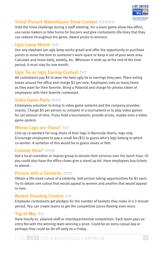

# **Trivial Pursuit Match/Game Show Contest <b>A** A A

Hold the trivia challenge during a staff meeting. For a more game-show like effect, use noise makers or bike horns for buzzers and give contestants life-lines that they can redeem throughout the game. Award prizes to winners.

# **Ugly Lamp Month**  $\odot \odot$

Use any elephant (an ugly lamp works great) and offer the opportunity to purchase points to move the item to someone's work space or keep it out of your work area. Calculate and move daily, weekly, etc. Wherever it ends up at the end of the time period, it must stay for one month.

# **Ugly Tie or Ugly Earring Contest**  $\odot \odot$

All contestants pay \$5 to wear the best ugly tie or earrings they own. Place voting boxes around the office and charge \$1 per vote. Employees vote as many times as they want for their favorite. Bring a Polaroid and charge for photos taken of employees with their favorite contestant.

# **Video Game Party <b>O**O

Employees volunteer to bring in video game systems and the company provides snacks. Charge \$5 per person to compete in a tournament or to play video games for set amount of time. If you hold a tournament, provide prizes, maybe even a video game system.

# **Whose Legs are Those?**  $\circledcirc$

Line up co-workers for mug shots of their legs in Bermuda shorts, legs only. Encourage employees to pay a small fee (\$1) to guess who's legs belong to which co-worker. A variation of this would be to guess noses or feet.

# **Comedy Hour? OOO**

Ask a local comedian or improv group to donate their services over the lunch hour. Or you could also have the office clown give a stand up bit. Have employees buy tickets to attend.

# **Picture with a Celebrity OOO**

Obtain a life-sized cutout of a celebrity. Sell picture taking opportunities for \$1 each. Try to obtain one cutout that would appeal to women and another that would appeal to men.

# **Basket Shooting Contest**  $\odot \odot$

Employee contestants get pledges for the number of baskets they make in a 3 minute period. You can create teams to get the competitive juices flowing even more.

# **Tug-of-War**  $\circledcirc\circ$

Have hourly vs. salaried staff or interdepartmental competition. Each team pays an entry fee with the winning team winning a prize. Could be an extra casual day or perhaps they could be let off early on a Friday.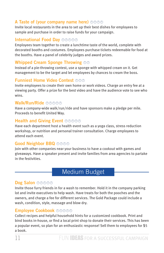# **A Taste of (your company name here)** *OO***<sub></sub><sup>***O***</sup>**

Invite local restaurants in the area to set up their best dishes for employees to sample and purchase in order to raise funds for your campaign.

# **International Food Day** *<b>O O*

Employees team together to create a lunchtime taste of the world, complete with decorated booths and costumes. Employees purchase tickets redeemable for food at the booths. Have a panel of celebrity judges and award prizes.

# **Whipped Cream Sponge Throwing**  $\odot \odot$

Instead of a pie-throwing contest, use a sponge with whipped cream on it. Get management to be the target and let employees by chances to cream the boss.

# **Funniest Home Video Contest**  $\circledcirc \circledcirc$

Invite employees to create their own home or work videos. Charge an entry fee at a viewing party. Offer a prize for the best video and have the audience vote to see who wins.

#### **Walk/Run/Ride** ÂÂÂÂÂ

Have a company-wide walk/run/ride and have sponsors make a pledge per mile. Proceeds to benefit United Way.

# **Health and Giving Event OOOOO**

Have each department host a health event such as a yoga class, stress reduction workshop, or nutrition and personal trainer consultation. Charge employees to attend each event.

# **Good Neighbor BBQ OOOO**

Join with other companies near your business to have a cookout with games and giveaways. Have a speaker present and invite families from area agencies to partake in the festivities.

# Medium Budget

# **Dog Salon OOOOO**

Invite those furry friends in for a wash to remember. Hold it in the company parking lot and invite executives to help wash. Have treats for both the pooches and the owners, and charge a fee for different services. The Gold Package could include a wash, condition, style, massage and blow dry.

# **Employee Cookbook** ÂÂÂÂÂ

Collect recipes and helpful household hints for a customized cookbook. Print and bind books in-house, or find a local print shop to donate their services. This has been a popular event, so plan for an enthusiastic response! Sell them to employees for \$5 a book.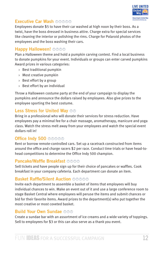

# **Executive Car Wash <b>AAAA**

Employees donate \$5 to have their car washed at high noon by their boss. As a twist, have the boss dressed in business attire. Charge extra for special services like cleaning the interior or polishing the rims. Charge for Polaroid photos of the employees and the boss washing their cars.

# **Happy Halloween!**  $\oslash \oslash \oslash$

Plan a Halloween theme and hold a pumpkin carving contest. Find a local business to donate pumpkins for your event. Individuals or groups can enter carved pumpkins Award prizes in various categories:

- › Best traditional pumpkin
- › Most creative pumpkin
- › Best effort by a group
- › Best effort by an individual

Throw a Halloween costume party at the end of your campaign to display the pumpkins and announce the dollars raised by employees. Also give prizes to the employee sporting the best costume.

# **Less Stress for United Way OO**

Bring in a professional who will donate their services for stress reduction. Have employees pay a minimal fee for a chair massage, aromatherapy, manicure and yoga class. Watch the stress melt away from your employees and watch the special event dollars roll in!

# **Office Indy 500 OBOO**

Rent or borrow remote-controlled cars. Set up a racetrack constructed from items around the office and charge racers \$2 per race. Conduct time trials or have head-tohead competitions to determine the Office Indy 500 champion.

# **Pancake/Waffle Breakfast <b>A** A A

Sell tickets and have people sign up for their choice of pancakes or waffles. Cook breakfast in your company cafeteria. Each department can donate an item.

# **Basket Raffle/Silent Auction OOOOO**

Invite each department to assemble a basket of items that employees will buy individual chances to win. Make an event out of it and use a large conference room to stage Basket Central where employees will peruse the items and submit chances or bid for their favorite items. Award prizes to the department(s) who put together the most creative or most coveted basket.

# **Build Your Own Sundae <b>A**

Create a sundae bar with an assortment of ice creams and a wide variety of toppings. Sell to employees for \$3 or this can also serve as a thank you event.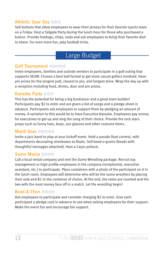# **Athletic Gear Dav OOO**

Sell buttons that allow employees to wear their jerseys for their favorite sports team on a Friday. Host a Tailgate Party during the lunch hour for those who purchased a button. Provide hotdogs, chips, soda and ask employees to bring their favorite dish to share. For even more fun, play football trivia.

# Large Budget

# **Golf Tournament OOOOO**

Invite employees, families and outside vendors to participate in a golf outing that supports SEUW. Choose a best ball format to get more casual golfers involved. Have pin prizes for the longest putt, closest to pin, and longest drive. Wrap the day up with a reception including food, drinks, door and pin prizes.

# Karaoke Party OOO

This has the potential for being a big fundraiser and a great team builder! Participants pay \$2 to enter and are given a list of songs and a pledge sheet in advance. Participants ask employees to support them by pledging an amount of money. A variation to this would be to have Executive Karaoke. Employees pay money for executives to get up and sing the song of their choice. Provide the rock stars props such as funny hats, boas, sun glasses and other costume items.

# Mardi Gras **OOOO**

Invite a jazz band to play at your kickoff event. Hold a parade float contest, with departments decorating shoeboxes as floats. Sell bead-o-grams (beads with thoughtful messages attached). Host a Cajun potluck.

# **Sumo Mania OOOO**

Call a local rental company and rent the Sumo Wrestling package. Recruit top management or high profile employees in the company (receptionist, executive assistant, etc.) to participate. Place containers with a photo of the participant on it in the lunch room. Employees will determine who will be the sumo wrestlers by placing their vote and \$1 in the container of choice. At the end, the votes are counted and the two with the most money face off in a match. Let the wrestling begin!

# **Bowl-A-Thon OOOO**

Ask employees to participate and consider charging \$2 to enter. Give each participant a pledge card in advance to use when asking employees for their support. Make the event fun and encourage fan support.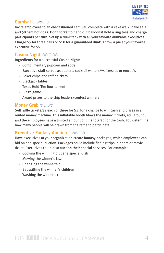

# **Carnival** ÂÂÂÂÂ

Invite employees to an old-fashioned carnival, complete with a cake walk, bake sale and 50 cent hot dogs. Don't forget to hand out balloons! Hold a ring toss and charge participants per turn. Set up a dunk tank with all your favorite dunkable executives. Charge \$5 for three balls or \$10 for a guaranteed dunk. Throw a pie at your favorite executive for \$5.

# **Casino Night <b>OO**OO

Ingredients for a successful Casino Night:

- › Complimentary popcorn and soda
- › Executive staff serves as dealers, cocktail waiters/waitresses or emcee's
- › Poker chips and raffle tickets
- › Blackjack tables
- › Texas Hold 'Em Tournament
- › Bingo game
- › Award prizes to the chip leaders/contest winners

# **Money Grab <b>O**O<sub></sub>

Sell raffle tickets,\$2 each or three for \$5, for a chance to win cash and prizes in a rented money machine. This inflatable booth blows the money, tickets, etc. around, and the employees have a limited amount of time to grab for the cash. You determine how many people will be drawn from the raffle to participate.

# **Executive Fantasy Auction** ÂÂÂÂÂ

Have executives at your organization create fantasy packages, which employees can bid on at a special auction. Packages could include fishing trips, dinners or movie ticket. Executives could also auction their special services. For example:

- › Cooking the winning bidder a special dish
- › Mowing the winner's lawn
- › Changing the winner's oil
- › Babysitting the winner's children
- › Washing the winner's car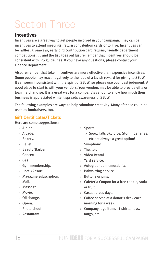# Section Three

# **Incentives**

Incentives are a great way to get people involved in your campaign. They can be incentives to attend meetings, return contribution cards or to give. Incentives can be raffles, giveaways, early bird contribution card returns, friendly department competitions . . . and the list goes on! Just remember that incentives should be consistent with IRS guidelines. If you have any questions, please contact your Finance Department.

Also, remember that token incentives are more effective than expensive incentives. Some people may react negatively to the idea of a lavish reward for giving to SEUW. It can seem inconsistent with the spirit of SEUW, so please use your best judgment. A good place to start is with your vendors. Your vendors may be able to provide gifts or loan merchandise. It is a great way for a company's vendor to show how much their business is appreciated while it spreads awareness of SEUW.

The following examples are ways to help stimulate creativity. Many of these could be used as fundraisers, too.

# **Gift Certificates/Tickets**

Here are some suggestions:

- › Airline.
- › Arcade.
- › Bakery.
- › Ballet.
- › Beauty/Barber.
- › Concert.
- › Gas.
- › Gym membership.
- › Hotel/Resort.
- › Magazine subscription.
- › Mall.
- › Massage.
- › Movie.
- › Oil change.
- › Opera.
- › Photo shoot.
- › Restaurant.
- › Sports.
	- » Sioux Falls Skyforce, Storm, Canaries, etc are always a great option!
- › Symphony.
- › Theater.
- › Video Rental.
- › Yard service.
- › Autographed memorabilia.
- › Babysitting service.
- › Buttons or pins.
- › Cafeteria Coupon for a free cookie, soda or fruit.
- › Casual dress days.
- › Coffee served at a donor's desk each morning for a week.
- › Company logo items—t-shirts, toys, mugs, etc.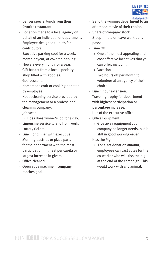

- › Deliver special lunch from their favorite restaurant.
- › Donation made to a local agency on behalf of an individual or department.
- › Employee-designed t-shirts for contributors.
- › Executive parking spot for a week, month or year, or covered parking.
- › Flowers every month for a year.
- › Gift basket from a local specialty shop filled with goodies.
- › Golf Lessons.
- › Homemade craft or cooking donated by employee.
- › Housecleaning service provided by top management or a professional cleaning company.
- › Job swap
	- » Boss does winner's job for a day.
- › Limousine service to and from work.
- › Lottery tickets.
- › Lunch or dinner with executive.
- › Morning pastries or pizza party for the department with the most participation, highest per capita or largest increase in givers.
- › Office cleaned.
- › Open soda machine if company reaches goal.
- › Send the winning department to an afternoon movie of their choice.
- › Share of company stock.
- › Sleep-in-late or leave-work-early passes.
- › Time Off
	- » One of the most appealing and cost effective incentives that you can offer, including:
	- » Vacation
	- » Two hours off per month to volunteer at an agency of their choice.
- › Lunch hour extension.
- › Traveling trophy for department with highest participation or percentage increase.
- › Use of the executive office.
- › Office Equipment
	- » Give away equipment your company no longer needs, but is still in good working order.
- › Kiss the Pig
	- » For a set donation amount, employees can cast votes for the co-worker who will kiss the pig at the end of the campaign. This would work with any animal.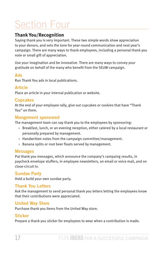# Section Four

# **Thank You/Recognition**

Saying thank you is very important. These two simple words show appreciation to your donors, and sets the tone for year-round communication and next year's campaign. There are many ways to thank employees, including a personal thank you note or small gift of appreciation.

Use your imagination and be innovative. There are many ways to convey your gratitude on behalf of the many who benefit from the SEUW campaign.

# **Ads**

Run Thank You ads in local publications.

# **Article**

Place an article in your internal publication or website.

# **Cupcakes**

At the end of your employee rally, give out cupcakes or cookies that have "Thank You" on them.

# **Mangement sponsored**

The management team can say thank you to the employees by sponsoring:

- › Breakfast, lunch, or an evening reception, either catered by a local restaurant or personally prepared by management.
- › Handwritten notes from the campaign committee/management.
- › Banana splits or root beer floats served by management.

# **Messages**

Put thank you messages, which announce the company's campaing results, in paycheck envelope stuffers, in employee newsletters, on email or voice mail, and on close-circuit tv.

# **Sundae Party**

Hold a build your own sundae party.

# **Thank You Letters**

Ask the management to send personal thank you letters letting the employees know that their contributions were appreciated.

# **United Way Store**

Purchase thank you items from the United Way store.

# **Sticker**

Prepare a thank you sticker for employees to wear when a contribution is made.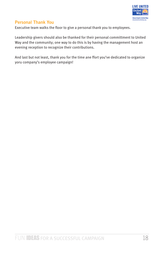

# **Personal Thank You**

Executive team walks the floor to give a personal thank you to employees.

Leadership givers should also be thanked for their personal committment to United Way and the community; one way to do this is by having the management host an evening reception to recognize their contributions.

And last but not least, thank you for the time ane ffort you've dedicated to organize yoru company's employee campaign!